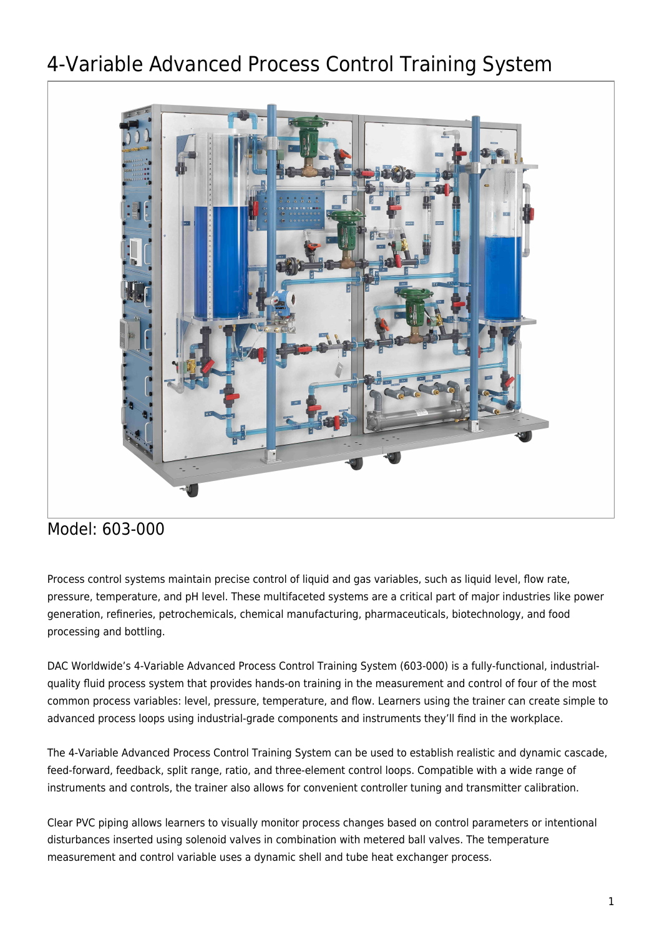# 4-Variable Advanced Process Control Training System



# Model: 603-000

Process control systems maintain precise control of liquid and gas variables, such as liquid level, flow rate, pressure, temperature, and pH level. These multifaceted systems are a critical part of major industries like power generation, refineries, petrochemicals, chemical manufacturing, pharmaceuticals, biotechnology, and food processing and bottling.

DAC Worldwide's 4-Variable Advanced Process Control Training System (603-000) is a fully-functional, industrialquality fluid process system that provides hands-on training in the measurement and control of four of the most common process variables: level, pressure, temperature, and flow. Learners using the trainer can create simple to advanced process loops using industrial-grade components and instruments they'll find in the workplace.

The 4-Variable Advanced Process Control Training System can be used to establish realistic and dynamic cascade, feed-forward, feedback, split range, ratio, and three-element control loops. Compatible with a wide range of instruments and controls, the trainer also allows for convenient controller tuning and transmitter calibration.

Clear PVC piping allows learners to visually monitor process changes based on control parameters or intentional disturbances inserted using solenoid valves in combination with metered ball valves. The temperature measurement and control variable uses a dynamic shell and tube heat exchanger process.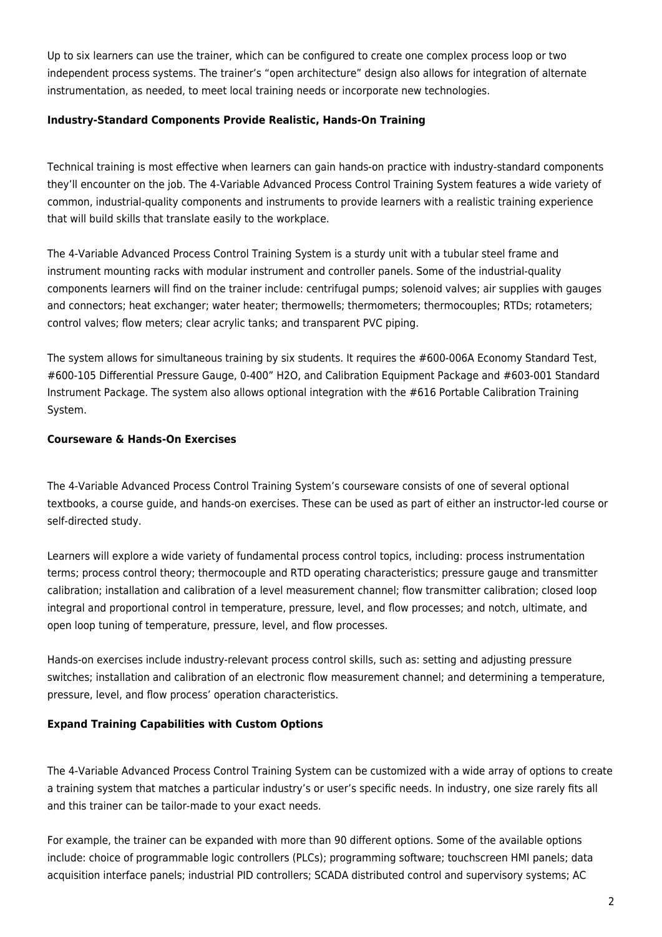Up to six learners can use the trainer, which can be configured to create one complex process loop or two independent process systems. The trainer's "open architecture" design also allows for integration of alternate instrumentation, as needed, to meet local training needs or incorporate new technologies.

#### **Industry-Standard Components Provide Realistic, Hands-On Training**

Technical training is most effective when learners can gain hands-on practice with industry-standard components they'll encounter on the job. The 4-Variable Advanced Process Control Training System features a wide variety of common, industrial-quality components and instruments to provide learners with a realistic training experience that will build skills that translate easily to the workplace.

The 4-Variable Advanced Process Control Training System is a sturdy unit with a tubular steel frame and instrument mounting racks with modular instrument and controller panels. Some of the industrial-quality components learners will find on the trainer include: centrifugal pumps; solenoid valves; air supplies with gauges and connectors; heat exchanger; water heater; thermowells; thermometers; thermocouples; RTDs; rotameters; control valves; flow meters; clear acrylic tanks; and transparent PVC piping.

The system allows for simultaneous training by six students. It requires the #600-006A Economy Standard Test, #600-105 Differential Pressure Gauge, 0-400" H2O, and Calibration Equipment Package and #603-001 Standard Instrument Package. The system also allows optional integration with the #616 Portable Calibration Training System.

### **Courseware & Hands-On Exercises**

The 4-Variable Advanced Process Control Training System's courseware consists of one of several optional textbooks, a course guide, and hands-on exercises. These can be used as part of either an instructor-led course or self-directed study.

Learners will explore a wide variety of fundamental process control topics, including: process instrumentation terms; process control theory; thermocouple and RTD operating characteristics; pressure gauge and transmitter calibration; installation and calibration of a level measurement channel; flow transmitter calibration; closed loop integral and proportional control in temperature, pressure, level, and flow processes; and notch, ultimate, and open loop tuning of temperature, pressure, level, and flow processes.

Hands-on exercises include industry-relevant process control skills, such as: setting and adjusting pressure switches; installation and calibration of an electronic flow measurement channel; and determining a temperature, pressure, level, and flow process' operation characteristics.

## **Expand Training Capabilities with Custom Options**

The 4-Variable Advanced Process Control Training System can be customized with a wide array of options to create a training system that matches a particular industry's or user's specific needs. In industry, one size rarely fits all and this trainer can be tailor-made to your exact needs.

For example, the trainer can be expanded with more than 90 different options. Some of the available options include: choice of programmable logic controllers (PLCs); programming software; touchscreen HMI panels; data acquisition interface panels; industrial PID controllers; SCADA distributed control and supervisory systems; AC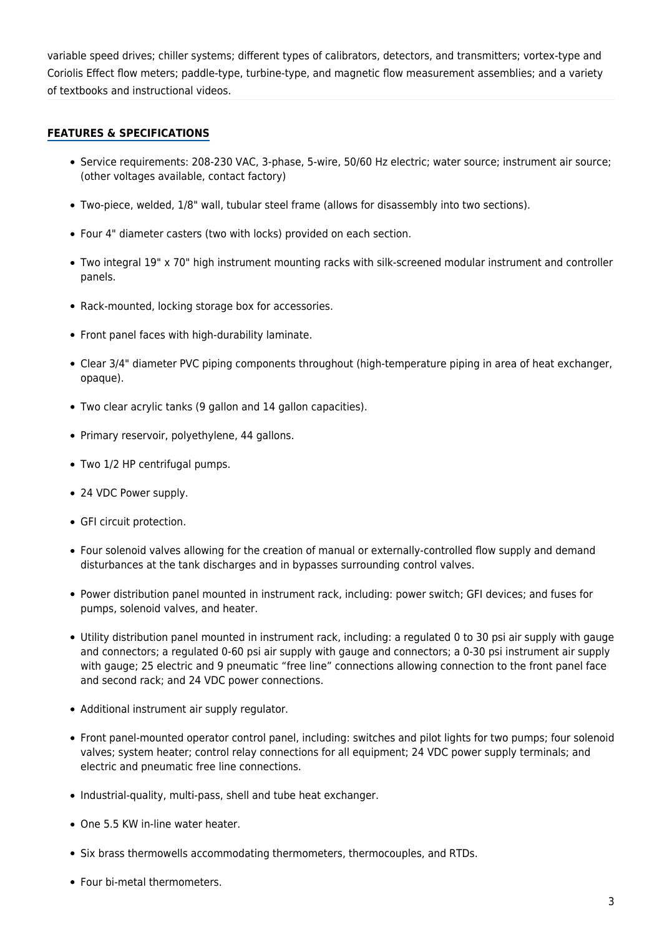variable speed drives; chiller systems; different types of calibrators, detectors, and transmitters; vortex-type and Coriolis Effect flow meters; paddle-type, turbine-type, and magnetic flow measurement assemblies; and a variety of textbooks and instructional videos.

#### **FEATURES & SPECIFICATIONS**

- Service requirements: 208-230 VAC, 3-phase, 5-wire, 50/60 Hz electric; water source; instrument air source; (other voltages available, contact factory)
- Two-piece, welded, 1/8" wall, tubular steel frame (allows for disassembly into two sections).
- Four 4" diameter casters (two with locks) provided on each section.
- Two integral 19" x 70" high instrument mounting racks with silk-screened modular instrument and controller panels.
- Rack-mounted, locking storage box for accessories.
- Front panel faces with high-durability laminate.
- Clear 3/4" diameter PVC piping components throughout (high-temperature piping in area of heat exchanger, opaque).
- Two clear acrylic tanks (9 gallon and 14 gallon capacities).
- Primary reservoir, polyethylene, 44 gallons.
- Two 1/2 HP centrifugal pumps.
- 24 VDC Power supply.
- GFI circuit protection.
- Four solenoid valves allowing for the creation of manual or externally-controlled flow supply and demand disturbances at the tank discharges and in bypasses surrounding control valves.
- Power distribution panel mounted in instrument rack, including: power switch; GFI devices; and fuses for pumps, solenoid valves, and heater.
- Utility distribution panel mounted in instrument rack, including: a regulated 0 to 30 psi air supply with gauge and connectors; a regulated 0-60 psi air supply with gauge and connectors; a 0-30 psi instrument air supply with gauge; 25 electric and 9 pneumatic "free line" connections allowing connection to the front panel face and second rack; and 24 VDC power connections.
- Additional instrument air supply regulator.
- Front panel-mounted operator control panel, including: switches and pilot lights for two pumps; four solenoid valves; system heater; control relay connections for all equipment; 24 VDC power supply terminals; and electric and pneumatic free line connections.
- Industrial-quality, multi-pass, shell and tube heat exchanger.
- One 5.5 KW in-line water heater.
- Six brass thermowells accommodating thermometers, thermocouples, and RTDs.
- Four bi-metal thermometers.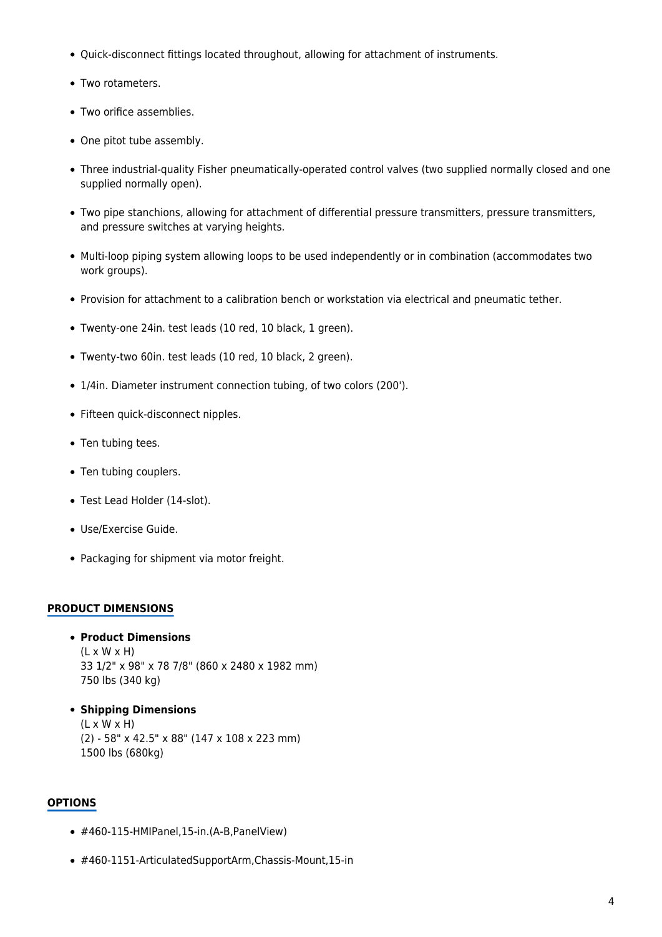- Quick-disconnect fittings located throughout, allowing for attachment of instruments.
- Two rotameters.
- Two orifice assemblies.
- One pitot tube assembly.
- Three industrial-quality Fisher pneumatically-operated control valves (two supplied normally closed and one supplied normally open).
- Two pipe stanchions, allowing for attachment of differential pressure transmitters, pressure transmitters, and pressure switches at varying heights.
- Multi-loop piping system allowing loops to be used independently or in combination (accommodates two work groups).
- Provision for attachment to a calibration bench or workstation via electrical and pneumatic tether.
- Twenty-one 24in. test leads (10 red, 10 black, 1 green).
- Twenty-two 60in. test leads (10 red, 10 black, 2 green).
- 1/4in. Diameter instrument connection tubing, of two colors (200').
- Fifteen quick-disconnect nipples.
- Ten tubing tees.
- Ten tubing couplers.
- Test Lead Holder (14-slot).
- Use/Exercise Guide.
- Packaging for shipment via motor freight.

#### **PRODUCT DIMENSIONS**

**Product Dimensions**

 $(L \times W \times H)$ 33 1/2" x 98" x 78 7/8" (860 x 2480 x 1982 mm) 750 lbs (340 kg)

**Shipping Dimensions**  $(L \times W \times H)$ (2) - 58" x 42.5" x 88" (147 x 108 x 223 mm) 1500 lbs (680kg)

#### **OPTIONS**

- #460-115-HMIPanel,15-in.(A-B,PanelView)
- #460-1151-ArticulatedSupportArm,Chassis-Mount,15-in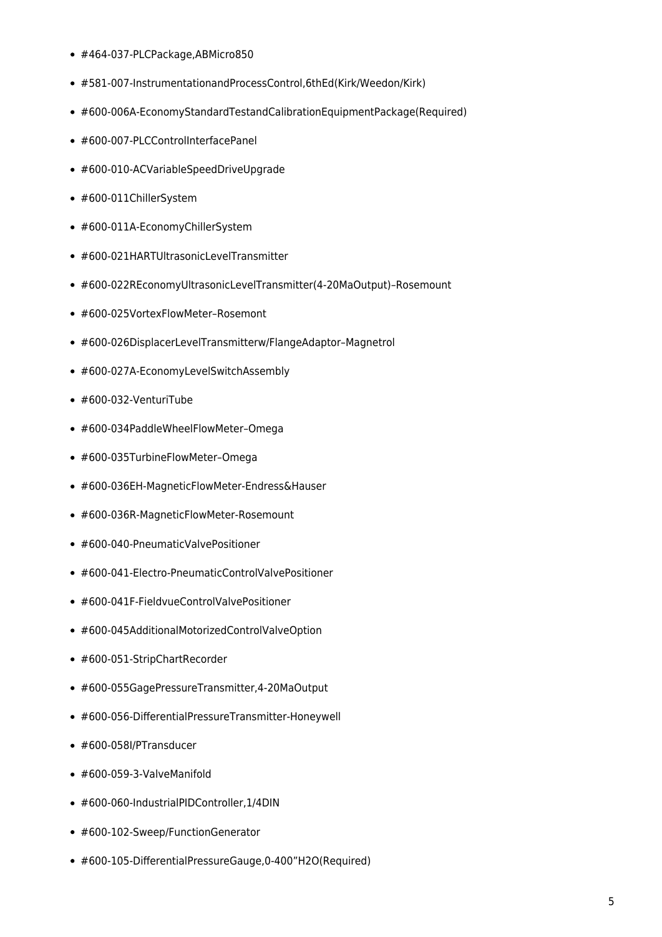- #464-037-PLCPackage,ABMicro850
- #581-007-InstrumentationandProcessControl,6thEd(Kirk/Weedon/Kirk)
- #600-006A-EconomyStandardTestandCalibrationEquipmentPackage(Required)
- #600-007-PLCControlInterfacePanel
- #600-010-ACVariableSpeedDriveUpgrade
- #600-011ChillerSystem
- #600-011A-EconomyChillerSystem
- #600-021HARTUltrasonicLevelTransmitter
- #600-022REconomyUltrasonicLevelTransmitter(4-20MaOutput)–Rosemount
- #600-025VortexFlowMeter–Rosemont
- #600-026DisplacerLevelTransmitterw/FlangeAdaptor–Magnetrol
- #600-027A-EconomyLevelSwitchAssembly
- #600-032-VenturiTube
- #600-034PaddleWheelFlowMeter–Omega
- #600-035TurbineFlowMeter–Omega
- #600-036EH-MagneticFlowMeter-Endress&Hauser
- #600-036R-MagneticFlowMeter-Rosemount
- #600-040-PneumaticValvePositioner
- #600-041-Electro-PneumaticControlValvePositioner
- #600-041F-FieldvueControlValvePositioner
- #600-045AdditionalMotorizedControlValveOption
- #600-051-StripChartRecorder
- #600-055GagePressureTransmitter,4-20MaOutput
- #600-056-DifferentialPressureTransmitter-Honeywell
- #600-058I/PTransducer
- $*$  #600-059-3-ValveManifold
- #600-060-IndustrialPIDController,1/4DIN
- #600-102-Sweep/FunctionGenerator
- #600-105-DifferentialPressureGauge,0-400"H2O(Required)